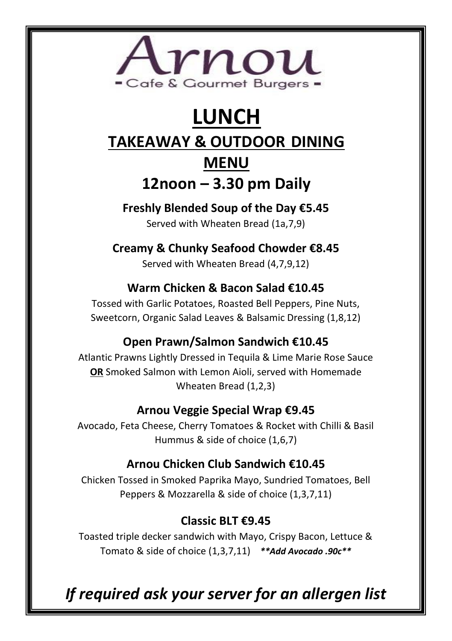

# **LUNCH**

### **TAKEAWAY & OUTDOOR DINING**

## **MENU 12noon – 3.30 pm Daily**

**Freshly Blended Soup of the Day €5.45**

Served with Wheaten Bread (1a,7,9)

**Creamy & Chunky Seafood Chowder €8.45**

Served with Wheaten Bread (4,7,9,12)

#### **Warm Chicken & Bacon Salad €10.45**

Tossed with Garlic Potatoes, Roasted Bell Peppers, Pine Nuts, Sweetcorn, Organic Salad Leaves & Balsamic Dressing (1,8,12)

#### **Open Prawn/Salmon Sandwich €10.45**

Atlantic Prawns Lightly Dressed in Tequila & Lime Marie Rose Sauce **OR** Smoked Salmon with Lemon Aioli, served with Homemade Wheaten Bread (1,2,3)

#### **Arnou Veggie Special Wrap €9.45**

Avocado, Feta Cheese, Cherry Tomatoes & Rocket with Chilli & Basil Hummus & side of choice (1,6,7)

#### **Arnou Chicken Club Sandwich €10.45**

Chicken Tossed in Smoked Paprika Mayo, Sundried Tomatoes, Bell Peppers & Mozzarella & side of choice (1,3,7,11)

#### **Classic BLT €9.45**

Toasted triple decker sandwich with Mayo, Crispy Bacon, Lettuce & Tomato & side of choice (1,3,7,11) *\*\*Add Avocado .90c\*\**

*If required ask your server for an allergen list*